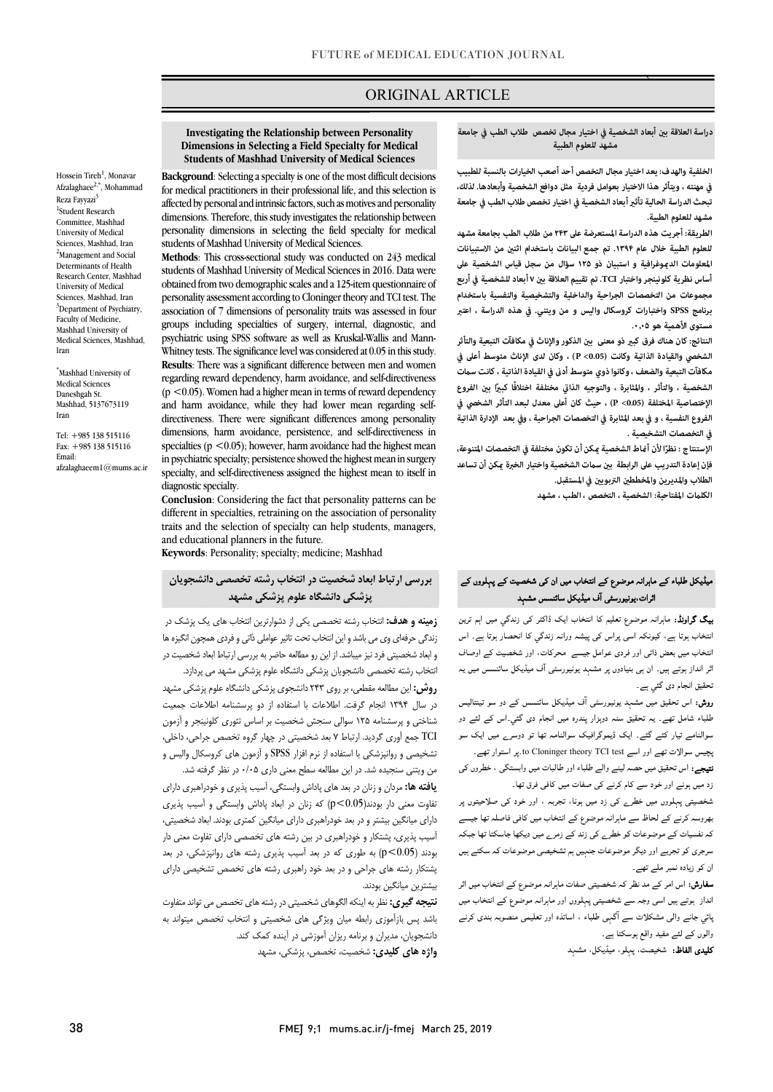# ORIGINAL ARTICLE

#### **دراسة العلاقة ب أبعاد الشخصية في اختيار مجال تخصص طلاب الطب في جامعة مشهد للعلوم الطبية**

`ص  $\overline{a}$ 

 **الخلفية والهدف: يعد اختيار مجال التخصص أحد أصعب الخيارات بالنسبة للطبيب تبحث الدراسة الحالية تأث أبعاد الشخصية في اختيار تخصص طلاب الطب في جامعة مشهد للعلوم الطبية. في مهنته ، ويتأثر هذا الاختيار بعوامل فردية مثل دوافع الشخصية وأبعادها. لذلك،** 

 **الطريقة: أجريت هذه الدراسة المستعرضة على ۲۴۳من طلاب الطب بجامعة مشهد للعلوم الطبية خلال عام .۱۳۹۴ تم جمع البيانات باستخدام اثن من الاستبيانات المعلومات الدوغرافية و استبيان ذو ۱۲۵ سؤال من سجل قياس الشخصية على مجموعات من التخصصات الجراحية والداخلية والتشخيصية والنفسية باستخدام برنامج SPSS واختبارات کروسکال والیس و من ویتني. في هذه الدراسة ، اعتبر مستوى الأهمية هو .۰٫۰۵ أساس نظرية كلونينجر واختبار TCI. تم تقييم العلاقة ب ۷أبعاد للشخصية في أربع** 

النتائج: كان هناك فرق كب<u>ر</u> ذو معنى بين الذكور والإناث في مكافآت التبعية والتأثر **مكافآت التبعية والضعف ، وكانوا ذوي متوسط أد في القيادة الذاتية ، كانت ست الشخصية ، والتأثر ، والمثابرة ، والتوجيه الذا مختلفة اختلافً ً ا كبا ب الفروع الإختصاصية المختلفة (0.05> P (، حيث كان أعلى معدل لبعد التأثر الشخصي في الفروع النفسية ، و في بعد المثابرة في التخصصات الجراحية ، وفي بعد الإدارة الذاتية في التخصصات التشخيصية . الشخصي والقيادة الذاتية وكانت (0.05> P (، وكان لدى الإناث متوسط أعلى في** 

. و السنة ع السراحي العام الساعدية المعان على علون العادة التي المستقلف المدونة لا تساعد<br>فإن إعادة التدريب على الرابطة بين سمات الشخصية واختيار الخبرة عكن أن تساعد الطلاب والمديرين وال<del>مخططين</del> التربويين في المستقبل. الإستنتاج : نظرًا لأن أماط الشخصية <sub>ك</sub>كن أن تكون مختلفة فى التخصصات المتنوعة،

**الكلت المفتاحية: الشخصية ، التخصص ، الطب ، مشهد**

#### Í ائرات،یونیورسٹی آف میڈیکل سائنسس مشہد<br>۔ میڈیکل طلباء کے ماہرانہ موضوع کے انتخاب میں ان کی شخصیت کے پہلووں کے

**ییگ گراونڈ:** ماہرانہ موضوع تعلیم کا انتخاب ایک ڈاکٹر کی زندگی میں اہم ترین<br>۔ ہم ہر ہے ہیں کہ اس کی بر اس کی اس کر دی ہے۔<br>انتخاب میں بعض ذاتی اور فردی عوامل جیسے محرکات، اور شخصیت کے اوصاف اثر انداز ہوتے ہیں۔ ان ہی بنیادوں پر مشہد یونیورسٹی آف میڈیکل سائنسس میں یہ نحقیق انجام دی گئي ہے۔ انتخاب ہوتا ہے، کیونکہ اسی پراس کی پیشہ ورانہ زندگی کا انحصار ہوتا ہے۔ اس

ر**وش:** اس تحقیق میں مشہد یونیورسٹی آف میڈیکل سائنسس کے دو سو تینتالیس طلباء شامل تھے۔ یہ تحقیق سنہ دوہزار پندرہ میں انجام دی گئي۔اس کے لئے دو سوالنامے تیار کئے گئے۔ ایک ڈیموگرافیک سوالنامہ تھا تو دوسرے میں ایک سو بچیس سوالات تھے اور اسے to Cloninger theory TCI test. بر استوار تھے۔<br>'

**تیجے:** اس تحقیق میں حصہ لینے والے طلباء اور طالبات میں وابستگی ، خطروں کی<br>۔ زد میں ہونے اور خود سے کام کرنے کی صفات میں کافی فرق تھا۔

ر سے بارے سر اس سے سر اس سے ہیں۔<br>شخصیتی پہلووں میں خطرے کی زد میں ہونا، تجربہ ، اور خود کی صلاحیتوں پر ۔<br>پھروسہ کرنے کے لحاظ سے ماہرانہ موضوع کے انتخاب میں کافی فاصلہ تھا جیسے کہ نفسیات کے موضوعات کو خطرے کی زند کے زمرے میں دیکھا جاسکتا تھا جبکہ سرجری کو تجربے اور دیگر موضوعات جنہیں ہم تشخیصی موضوعات کہ سکتے ہیں ان کو زیادہ نمبر ملے تھے۔

**سفارش:** اس امر کے مد نظر کہ شخصیتی صفات ماہرانہ موضوع کے انتخاب میں اثر ااز ا و وں اور ا ع اب پسي بہ سے رسی مسدو ے سے سم ہی<br>والوں کے لئے مفید واقع ہوسکتا ہے ۔ .<br>پائی جانے والی مشکلات سے آگہی طلباء ، اساتذہ اور تعلیمی منصوبہ بندی کرنے

ی اظ: ، ، ،

#### **Investigating the Relationship between Personality Students of Mashhad University of Medical Sciences Dimensions in Selecting a Field Specialty for Medical**

i

 **Background**: Selecting a specialty is one of the most difficult decisions for medical practitioners in their professional life, and this selection is dimensions. Therefore, this study investigates the relationship between personality dimensions in selecting the field specialty for medical affected by personal and intrinsic factors, such as motives and personality students of Mashhad University of Medical Sciences.

 **Methods**: This cross-sectional study was conducted on 243 medical students of Mashhad University of Medical Sciences in 2016. Data were obtained from two demographic scales and a 125-item questionnaire of association of 7 dimensions of personality traits was assessed in four groups including specialties of surgery, internal, diagnostic, and psychiatric using or 55 soliwate as well as Kluskai-wallis and maini-<br>Whitney tests. The significance level was considered at 0.05 in this study. **Results**: There was a significant difference between men and women regarding reward dependency, harm avoidance, and self-directiveness and harm avoidance, while they had lower mean regarding self- directiveness. There were significant differences among personality dimensions, harm avoidance, persistence, and self-directiveness in in psychiatric specialty; persistence showed the highest mean in surgery specialty, and self-directiveness assigned the highest mean to itself in personality assessment according to Cloninger theory and TCI test. The psychiatric using SPSS software as well as Kruskal-Wallis and Mann- $(p \le 0.05)$ . Women had a higher mean in terms of reward dependency specialties ( $p < 0.05$ ); however, harm avoidance had the highest mean diagnostic specialty.

 **Conclusion**: Considering the fact that personality patterns can be different in specialties, retraining on the association of personality traits and the selection of specialty can help students, managers, and educational planners in the future.

**Keywords**: Personality; specialty; medicine; Mashhad

 **بررسی ارتباط ابعاد شخصیت در انتخاب رشته تخصصی دانشجویان پزشکی دانشگاه علوم پزشکی مشهد**

 **زمینه و هدف:** انتخاب رشته تخصصی یکی از دشوارترین انتخاب هاي یک پزشک در زندگی حرفهاي وي می باشد و این انتخاب تحت تاثیر عواملی ذاتی و فردي همچون انگیزه ها و بعد ساختیبی ترد بیر بیسته از این رو متحد تخصر به بررسی ارباب بعد ساخت<br>انتخاب رشته تخصصی دانشجویان پزشکی دانشگاه علوم پزشکی مشهد می پردازد. و ابعاد شخصیتی فرد نیز میباشد. از این رو مطالعه حاضر به بررسی ارتباط ابعاد شخصیت در

 **روش:** این مطالعه مقطعی، بر روي 243 دانشجوي پزشکی دانشگاه علوم پزشکی مشهد در سال 1394 انجام گرفت. اطلاعات با استفاده از دو پرسشنامه اطلاعات جمعیت شناختی و پرسشنامه 125 سوالی سنجش شخصیت بر اساس تئوري کلونینجر و آزمون TCI جمع آوري گردید. ارتباط 7 بعد شخصیتی در چهار گروه تخصص جراحی، داخلی، تشخیصی و روانپزشکی با استفاده از نرم افزار SPSS و آزمون هاي کروسکال والیس و من ویتنی سنجیده شد. در این مطالعه سطح معنی داري 0/05 در نظر گرفته شد.

 **یافته ها:** مردان و زنان در بعد هاي پاداش وابستگی، آسیب پذیري و خودراهبري داراي داراي میانگین بیشتر و در بعد خودراهبري داراي میانگین کمتري بودند. ابعاد شخصیتی، آسیب پذیري، پشتکار و خودراهبري در بین رشته هاي تخصصی داراي تفاوت معنی دار بودند (0.05>p (به طوري که در بعد آسیب پذیري رشته هاي روانپزشکی، در بعد پشتکار رشته هاي جراحی و در بعد خود راهبري رشته هاي تخصص تشخیصی داراي تفاوت معنی دار بودند(0.05>p (که زنان در ابعاد پاداش وابستگی و آسیب پذیري بیشترین میانگین بودند.

 **نتیجه گیري:** نظر به اینکه الگوهاي شخصیتی در رشته هاي تخصص می تواند متفاوت باشد پس بازآموزي رابطه میان ویژگی هاي شخصیتی و انتخاب تخصص میتواند به دانشجویان، مدیران و برنامه ریزان آموزشی در آینده کمک کند.

**واژه هاي کلیدي:** شخصیت، تخصص، پزشکی، مشهد

Hossein Tireh<sup>1</sup>. Monavar

\*Mashhad University of Medical Sciences Daneshgah St. Mashhad, 5137673119 Iran

Tel: +985 138 515116 Fax: +985 138 515116 Email: afzalaghaeem1@mums.ac.ir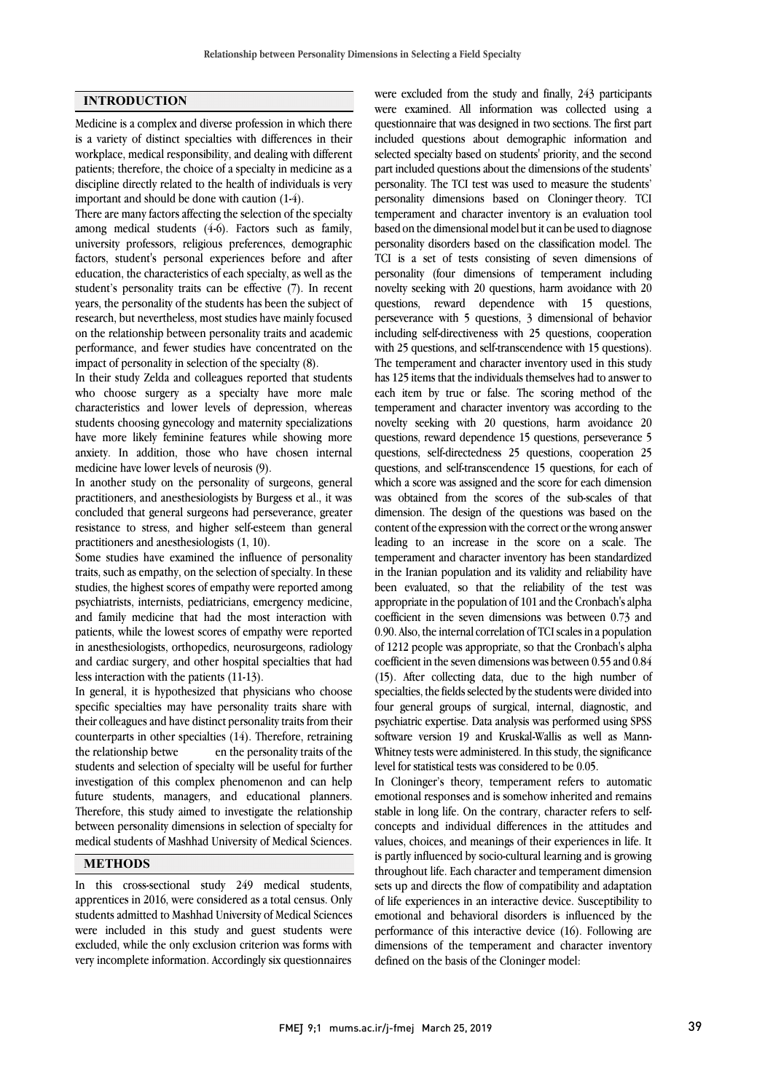# **INTRODUCTION**

Medicine is a complex and diverse profession in which there is a variety of distinct specialties with differences in their workplace, medical responsibility, and dealing with different patients; therefore, the choice of a specialty in medicine as a discipline directly related to the health of individuals is very important and should be done with caution (1-4).

There are many factors affecting the selection of the specialty among medical students (4-6). Factors such as family, university professors, religious preferences, demographic factors, student's personal experiences before and after education, the characteristics of each specialty, as well as the student's personality traits can be effective (7). In recent years, the personality of the students has been the subject of research, but nevertheless, most studies have mainly focused on the relationship between personality traits and academic performance, and fewer studies have concentrated on the impact of personality in selection of the specialty (8).

In their study Zelda and colleagues reported that students who choose surgery as a specialty have more male characteristics and lower levels of depression, whereas students choosing gynecology and maternity specializations have more likely feminine features while showing more anxiety. In addition, those who have chosen internal medicine have lower levels of neurosis (9).

In another study on the personality of surgeons, general practitioners, and anesthesiologists by Burgess et al., it was concluded that general surgeons had perseverance, greater resistance to stress, and higher self-esteem than general practitioners and anesthesiologists (1, 10).

Some studies have examined the influence of personality traits, such as empathy, on the selection of specialty. In these studies, the highest scores of empathy were reported among psychiatrists, internists, pediatricians, emergency medicine, and family medicine that had the most interaction with patients, while the lowest scores of empathy were reported in anesthesiologists, orthopedics, neurosurgeons, radiology and cardiac surgery, and other hospital specialties that had less interaction with the patients (11-13).

In general, it is hypothesized that physicians who choose specific specialties may have personality traits share with their colleagues and have distinct personality traits from their counterparts in other specialties (14). Therefore, retraining the relationship betwe en the personality traits of the students and selection of specialty will be useful for further investigation of this complex phenomenon and can help future students, managers, and educational planners. Therefore, this study aimed to investigate the relationship between personality dimensions in selection of specialty for medical students of Mashhad University of Medical Sciences.

# **METHODS**

In this cross-sectional study 249 medical students, apprentices in 2016, were considered as a total census. Only students admitted to Mashhad University of Medical Sciences were included in this study and guest students were excluded, while the only exclusion criterion was forms with very incomplete information. Accordingly six questionnaires

were examined. All information was collected using a questionnaire that was designed in two sections. The first part included questions about demographic information and selected specialty based on students' priority, and the second personality. The TCI test was used to measure the students' personality dimensions based on Cloninger theory. TCI temperament and character inventory is an evaluation tool based on the dimensional model but it can be used to diagnose TCI is a set of tests consisting of seven dimensions of personality (four dimensions of temperament including novelty seeking with 20 questions, harm avoidance with 20 questions, reward dependence with 15 questions, including self-directiveness with 25 questions, cooperation with 25 questions, and self-transcendence with 15 questions). The temperament and character inventory used in this study has 125 items that the individuals themselves had to answer to temperament and character inventory was according to the novelty seeking with 20 questions, harm avoidance 20 questions, reward dependence 15 questions, perseverance 5 questions, self-directedness 25 questions, cooperation 25 which a score was assigned and the score for each dimension was obtained from the scores of the sub-scales of that dimension. The design of the questions was based on the content of the expression with the correct or the wrong answer temperament and character inventory has been standardized in the Iranian population and its validity and reliability have been evaluated, so that the reliability of the test was appropriate in the population of 101 and the Cronbach's alpha 0.90. Also, the internal correlation of TCI scales in a population of 1212 people was appropriate, so that the Cronbach's alpha coefficient in the seven dimensions was between 0.55 and 0.84 (15). After collecting data, due to the high number of four general groups of surgical, internal, diagnostic, and psychiatric expertise. Data analysis was performed using SPSS software version 19 and Kruskal-Wallis as well as Mann- Whitney tests were administered. In this study, the significance were excluded from the study and finally, 243 participants part included questions about the dimensions of the students' personality disorders based on the classification model. The perseverance with 5 questions, 3 dimensional of behavior each item by true or false. The scoring method of the questions, and self-transcendence 15 questions, for each of leading to an increase in the score on a scale. The coefficient in the seven dimensions was between 0.73 and specialties, the fields selected by the students were divided into level for statistical tests was considered to be 0.05.

 In Cloninger's theory, temperament refers to automatic emotional responses and is somehow inherited and remains stable in long life. On the contrary, character refers to self- concepts and individual differences in the attitudes and values, choices, and meanings of their experiences in the. It is partly influenced by socio-cultural learning and is growing throughout life. Each character and temperament dimension sets up and directs the flow of compatibility and adaptation of life experiences in an interactive device. Susceptibility to performance of this interactive device (16). Following are dimensions of the temperament and character inventory defined on the basis of the Cloninger model: values, choices, and meanings of their experiences in life. It emotional and behavioral disorders is influenced by the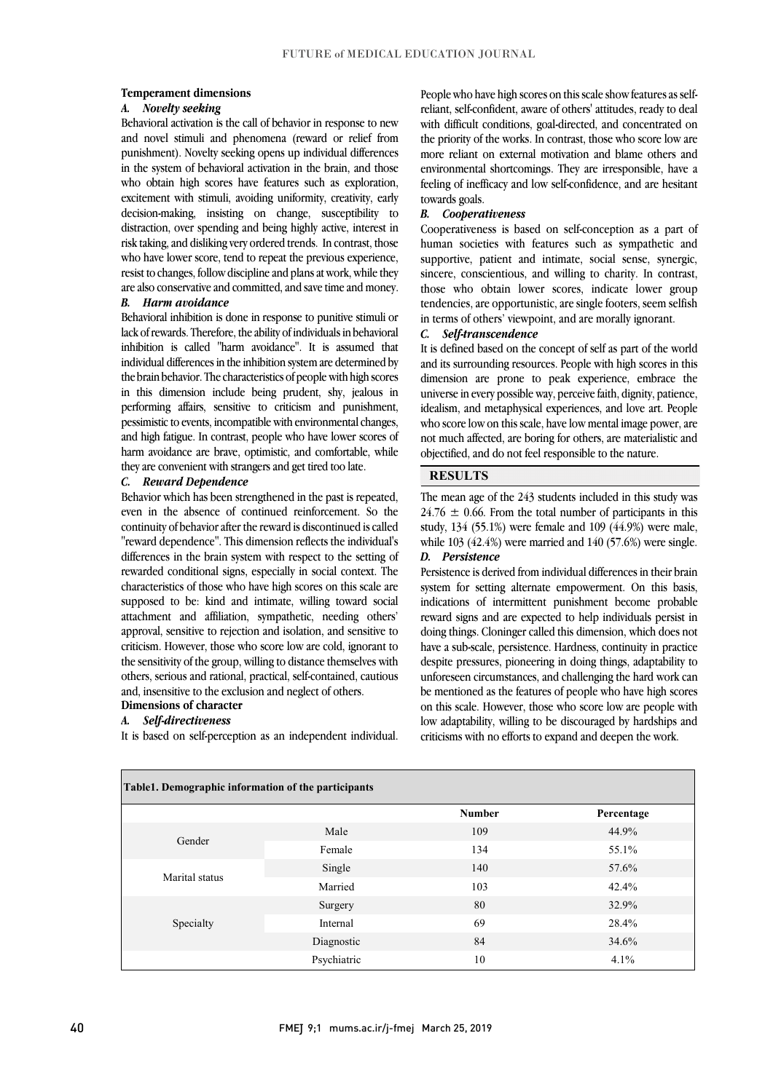#### **Temperament dimensions**

### *A. Novelty seeking*

 Behavioral activation is the call of behavior in response to new and novel stimuli and phenomena (reward or relief from punishment). Novelty seeking opens up individual differences who obtain high scores have features such as exploration, excitement with stimuli, avoiding uniformity, creativity, early decision-making, insisting on change, susceptibility to distraction, over spending and being highly active, interest in who have lower score, tend to repeat the previous experience, resist to changes, follow discipline and plans at work, while they are also conservative and committed, and save time and money. in the system of behavioral activation in the brain, and those risk taking, and disliking very ordered trends. In contrast, those

# *B. Harm avoidance*

 lack of rewards. Therefore, the ability of individuals in behavioral inhibition is called "harm avoidance". It is assumed that individual differences in the inhibition system are determined by the brain behavior. The characteristics of people with high scores performing affairs, sensitive to criticism and punishment, pessimistic to events, incompatible with environmental changes, and high fatigue. In contrast, people who have lower scores of harm avoidance are brave, optimistic, and comfortable, while they are convenient with strangers and get tired too late. Behavioral inhibition is done in response to punitive stimuli or in this dimension include being prudent, shy, jealous in

## *C. Reward Dependence*

 Behavior which has been strengthened in the past is repeated, even in the absence of continued reinforcement. So the continuity of behavior after the reward is discontinued is called differences in the brain system with respect to the setting of rewarded conditional signs, especially in social context. The characteristics of those who have high scores on this scale are supposed to be: kind and intimate, willing toward social approval, sensitive to rejection and isolation, and sensitive to criticism. However, those who score low are cold, ignorant to the sensitivity of the group, willing to distance themselves with others, serious and rational, practical, self-contained, cautious and, insensitive to the exclusion and neglect of others.<br>Dimensions of character "reward dependence". This dimension reflects the individual's attachment and affiliation, sympathetic, needing others'

### **Dimensions of character** *A. Self-directiveness*

It is based on self-perception as an independent individual.

 reliant, self-confident, aware of others' attitudes, ready to deal with difficult conditions, goal-directed, and concentrated on the priority of the works. In contrast, those who score low are more reliant on external motivation and blame others and environmental shortcomings. They are irresponsible, have a People who have high scores on this scale show features as selffeeling of inefficacy and low self-confidence, and are hesitant towards goals.

#### *B. Cooperativeness*

 Cooperativeness is based on self-conception as a part of supportive, patient and intimate, social sense, synergic, sincere, conscientious, and willing to charity. In contrast, those who obtain lower scores, indicate lower group tendencies, are opportunistic, are single footers, seem selfish in terms of others' viewpoint, and are morally ignorant. human societies with features such as sympathetic and

## *C. Self-transcendence*

 It is defined based on the concept of self as part of the world and its surrounding resources. People with high scores in this dimension are prone to peak experience, embrace the idealism, and metaphysical experiences, and love art. People who score low on this scale, have low mental image power, are not much affected, are boring for others, are materialistic and objectified, and do not feel responsible to the nature. universe in every possible way, perceive faith, dignity, patience,

# **RESULTS**

 The mean age of the 243 students included in this study was  $24.76 \pm 0.66$ . From the total number of participants in this study, 134 (55.1%) were female and 109 (44.9%) were male, while  $103$   $(42.4%)$  were married and  $140$   $(57.6%)$  were single. *D. Persistence*

 Persistence is derived from individual differences in their brain system for setting alternate empowerment. On this basis, indications of intermittent punishment become probable doing things. Cloninger called this dimension, which does not have a sub-scale, persistence. Hardness, continuity in practice despite pressures, pioneering in doing things, adaptability to unforeseen circumstances, and challenging the hard work can on this scale. However, those who score low are people with low adaptability, willing to be discouraged by hardships and criticisms with no efforts to expand and deepen the work. reward signs and are expected to help individuals persist in be mentioned as the features of people who have high scores

| Table1. Demographic information of the participants |             |               |            |
|-----------------------------------------------------|-------------|---------------|------------|
|                                                     |             | <b>Number</b> | Percentage |
| Gender                                              | Male        | 109           | 44.9%      |
|                                                     | Female      | 134           | 55.1%      |
| Marital status                                      | Single      | 140           | 57.6%      |
|                                                     | Married     | 103           | 42.4%      |
|                                                     | Surgery     | 80            | 32.9%      |
| Specialty                                           | Internal    | 69            | 28.4%      |
|                                                     | Diagnostic  | 84            | 34.6%      |
|                                                     | Psychiatric | 10            | 4.1%       |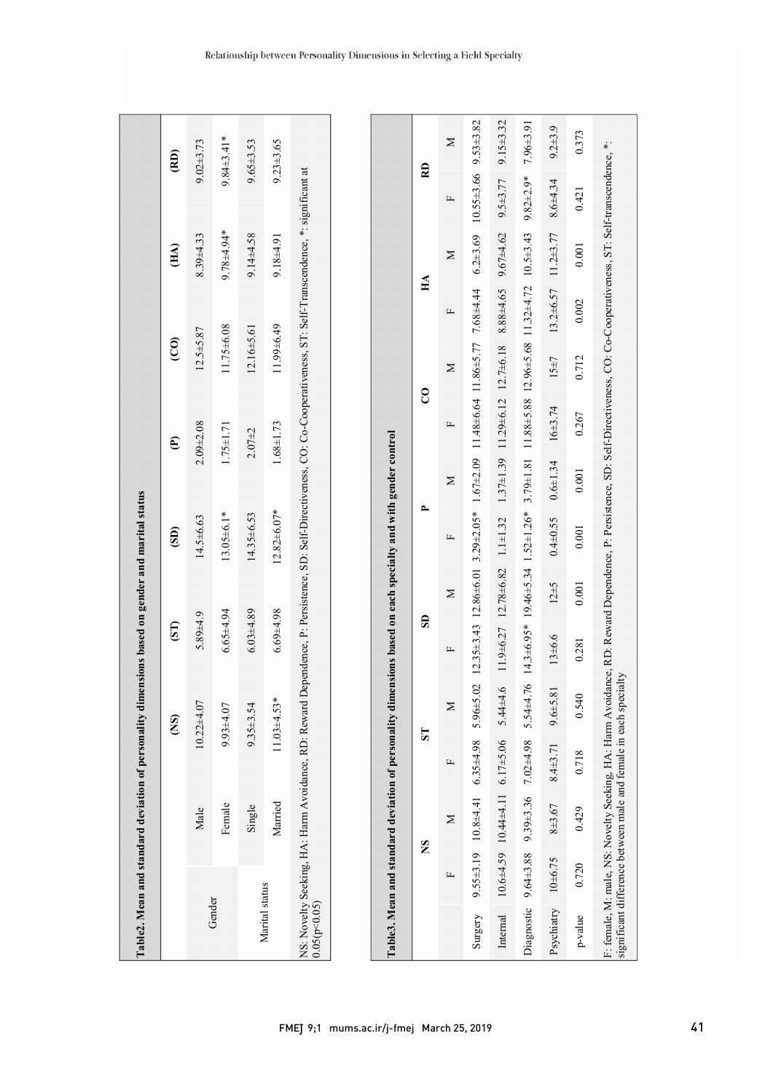|                |         | Table2. Mean and standard deviation of personality dimensions based on gender and marital status                                                                          |                      |                  |                 |                  |                             |                 |
|----------------|---------|---------------------------------------------------------------------------------------------------------------------------------------------------------------------------|----------------------|------------------|-----------------|------------------|-----------------------------|-----------------|
|                |         | $\widetilde{S}$                                                                                                                                                           | $\overline{\text{}}$ | $\widehat{5}$    | $\widehat{e}$   | $\widehat{c}$    | $\widetilde{\mathbf{H}}$ A) | $\widehat{R}$   |
|                | Male    | $10.22 + 4.07$                                                                                                                                                            | $5.89 + 4.9$         | $14.5 \pm 6.63$  | $2.09 + 2.08$   | $12.5 + 5.87$    | $8.39 + 4.33$               | $9.02 + 3.73$   |
| Gender         | Female  | $9.93 + 4.07$                                                                                                                                                             | $6.65 + 4.94$        | $13.05 \pm 6.1*$ | $1.75 \pm 1.71$ | 11.75±6.08       | 9.78±4.94*                  | $9.84\pm3.41*$  |
|                | Single  | $9.35 + 3.54$                                                                                                                                                             | $6.03 + 4.89$        | $14.35\pm 6.53$  | $2.07 + 2$      | $12.16 \pm 5.61$ | $9.14 \pm 4.58$             | $9.65 \pm 3.53$ |
| Marital status | Married | $1.03 \pm 4.53*$                                                                                                                                                          | $6.69 + 4.98$        | $12.82\pm 6.07*$ | $1.68 \pm 1.73$ | 11.99±6.49       | $9.18 + 4.91$               | $9.23 \pm 3.65$ |
| 0.05(p<0.05)   |         | NS: Novelty Seeking, HA: Harm Avoidance, RD: Reward Dependence, P. Persistence, SD: Self-Directiveness, CO: Co-Cooperativeness, ST: Self-Transcendence, *: significant at |                      |                  |                 |                  |                             |                 |
|                |         |                                                                                                                                                                           |                      |                  |                 |                  |                             |                 |
|                |         | Table3. Mean and standard deviation of personality dimensions based on each specialty and with gender control                                                             |                      |                  |                 |                  |                             |                 |
|                |         |                                                                                                                                                                           |                      |                  |                 |                  |                             |                 |

|         |                         | Ž          |          | 5                                                                                                                                                                                                                                                  |        | සි       |       |       | ဥ                                           |            | $H\Lambda$ |       | RD                                          |             |
|---------|-------------------------|------------|----------|----------------------------------------------------------------------------------------------------------------------------------------------------------------------------------------------------------------------------------------------------|--------|----------|-------|-------|---------------------------------------------|------------|------------|-------|---------------------------------------------|-------------|
|         |                         |            |          | $\geq$                                                                                                                                                                                                                                             |        | Σ        |       | Σ     |                                             | Σ          |            | Σ     |                                             | Σ           |
| Surgery |                         |            |          | 9.55±4.41 6.35±4.98 5.96±5.02 12.35±3.43 12.86±6.01 3.29±2.05* 1.67±2.09 11.48±6.64 11.86±5.77 7.68±4.44 6.2±3.69 10.55±3.66 9.53±3.82                                                                                                             |        |          |       |       |                                             |            |            |       |                                             |             |
|         |                         |            |          | Internal 10.6±4.59 10.44±4.11 6.17±5.06 5.44±4.6.11 12.78±6.82 1.1±1.32 1.47±1.39 11.29±6.12 12.7±6.13 8.88±4.65 9.67±4.62 9.5±3.77 9.15±3.32                                                                                                      |        |          |       |       |                                             |            |            |       |                                             |             |
|         |                         |            |          | Diagnostic 9.64±3.86 7.9±4.26 7.62±4.76 14.3±6.94 1.81.14.346.34 1.52±1.26* 3.79±1.28+1.81 11.88±8.88 12.96±5.68 11.32±4.72 10.5±3.43 9.82±2.9* 7.96±3.91                                                                                          |        |          |       |       |                                             |            |            |       |                                             |             |
|         | Psychiatry $10\pm 6.75$ | $8 + 3.67$ | 8.4±3.71 | $9.6 + 5.81$                                                                                                                                                                                                                                       | 13±6.6 | $12\pm5$ |       |       | $0.4 \pm 0.55$ $0.6 \pm 1.34$ $16 \pm 3.74$ | $15 \pm 7$ |            |       | $13.2\pm 6.57$ $11.2\pm 3.77$ $8.6\pm 4.34$ | $9.2 + 3.9$ |
| p-value | 0.720                   | 0.429      | 0.718    | 0.540                                                                                                                                                                                                                                              | 0.281  | 0.001    | 0.001 | 0.001 | 0.267                                       | 0.712      | 0.002      | 0.001 | 0.421                                       | 0.373       |
|         |                         |            |          | F: female, M: male, NS: Novelty Seeking, HA: Harm Avoidance, RD: Reward Dependence, P: Persistence, SD: Self-Directiveness, CO: Co-Cooperativeness, ST: Self-transcendence, *:<br>significant difference between male and female in each specialty |        |          |       |       |                                             |            |            |       |                                             |             |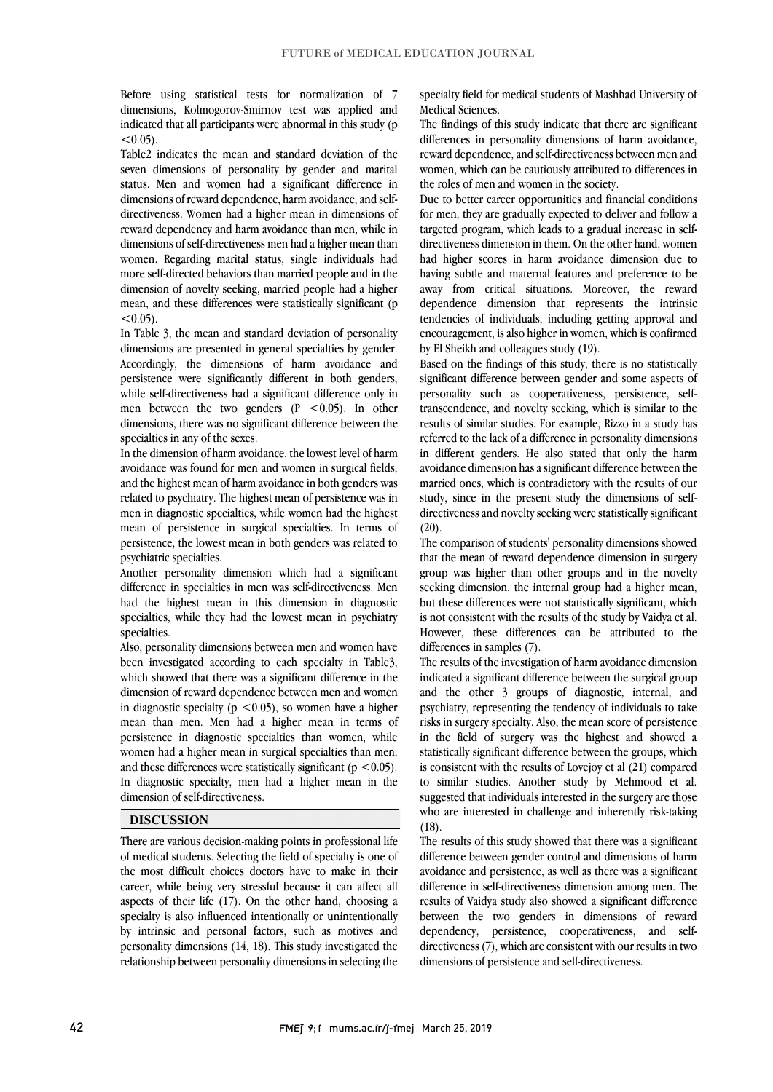Before using statistical tests for normalization of 7 dimensions, Kolmogorov-Smirnov test was applied and indicated that all participants were abnormal in this study (p  $< 0.05$ ).

Table2 indicates the mean and standard deviation of the seven dimensions of personality by gender and marital status. Men and women had a significant difference in dimensions of reward dependence, harm avoidance, and selfdirectiveness. Women had a higher mean in dimensions of reward dependency and harm avoidance than men, while in dimensions of self-directiveness men had a higher mean than women. Regarding marital status, single individuals had more self-directed behaviors than married people and in the dimension of novelty seeking, married people had a higher mean, and these differences were statistically significant (p  $< 0.05$ ).

In Table 3, the mean and standard deviation of personality dimensions are presented in general specialties by gender. Accordingly, the dimensions of harm avoidance and persistence were significantly different in both genders, while self-directiveness had a significant difference only in men between the two genders  $(P \le 0.05)$ . In other dimensions, there was no significant difference between the specialties in any of the sexes.

In the dimension of harm avoidance, the lowest level of harm avoidance was found for men and women in surgical fields, and the highest mean of harm avoidance in both genders was related to psychiatry. The highest mean of persistence was in men in diagnostic specialties, while women had the highest mean of persistence in surgical specialties. In terms of persistence, the lowest mean in both genders was related to psychiatric specialties.

Another personality dimension which had a significant difference in specialties in men was self-directiveness. Men had the highest mean in this dimension in diagnostic specialties, while they had the lowest mean in psychiatry specialties.

Also, personality dimensions between men and women have been investigated according to each specialty in Table3, which showed that there was a significant difference in the dimension of reward dependence between men and women in diagnostic specialty ( $p \le 0.05$ ), so women have a higher mean than men. Men had a higher mean in terms of persistence in diagnostic specialties than women, while women had a higher mean in surgical specialties than men, and these differences were statistically significant ( $p < 0.05$ ). In diagnostic specialty, men had a higher mean in the dimension of self-directiveness.

# **DISCUSSION**

There are various decision-making points in professional life of medical students. Selecting the field of specialty is one of the most difficult choices doctors have to make in their career, while being very stressful because it can affect all aspects of their life (17). On the other hand, choosing a specialty is also influenced intentionally or unintentionally by intrinsic and personal factors, such as motives and personality dimensions (14, 18). This study investigated the relationship between personality dimensions in selecting the specialty field for medical students of Mashhad University of Medical Sciences.

The findings of this study indicate that there are significant differences in personality dimensions of harm avoidance, reward dependence, and self-directiveness between men and women, which can be cautiously attributed to differences in the roles of men and women in the society.

Due to better career opportunities and financial conditions for men, they are gradually expected to deliver and follow a targeted program, which leads to a gradual increase in selfdirectiveness dimension in them. On the other hand, women had higher scores in harm avoidance dimension due to having subtle and maternal features and preference to be away from critical situations. Moreover, the reward dependence dimension that represents the intrinsic tendencies of individuals, including getting approval and encouragement, is also higher in women, which is confirmed by El Sheikh and colleagues study (19).

Based on the findings of this study, there is no statistically significant difference between gender and some aspects of personality such as cooperativeness, persistence, selftranscendence, and novelty seeking, which is similar to the results of similar studies. For example, Rizzo in a study has referred to the lack of a difference in personality dimensions in different genders. He also stated that only the harm avoidance dimension has a significant difference between the married ones, which is contradictory with the results of our study, since in the present study the dimensions of selfdirectiveness and novelty seeking were statistically significant  $(20).$ 

The comparison of students' personality dimensions showed that the mean of reward dependence dimension in surgery group was higher than other groups and in the novelty seeking dimension, the internal group had a higher mean, but these differences were not statistically significant, which is not consistent with the results of the study by Vaidya et al. However, these differences can be attributed to the differences in samples (7).

The results of the investigation of harm avoidance dimension indicated a significant difference between the surgical group and the other 3 groups of diagnostic, internal, and psychiatry, representing the tendency of individuals to take risks in surgery specialty. Also, the mean score of persistence in the field of surgery was the highest and showed a statistically significant difference between the groups, which is consistent with the results of Lovejoy et al (21) compared to similar studies. Another study by Mehmood et al. suggested that individuals interested in the surgery are those who are interested in challenge and inherently risk-taking (18).

The results of this study showed that there was a significant difference between gender control and dimensions of harm avoidance and persistence, as well as there was a significant difference in self-directiveness dimension among men. The results of Vaidya study also showed a significant difference between the two genders in dimensions of reward dependency, persistence, cooperativeness, and selfdirectiveness (7), which are consistent with our results in two dimensions of persistence and self-directiveness.